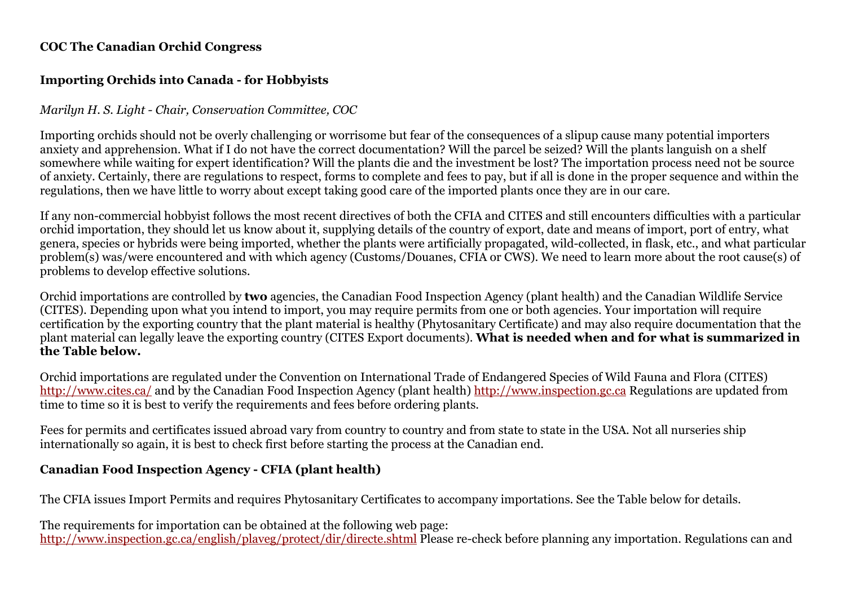## **COC The Canadian Orchid Congress**

# **Importing Orchids into Canada - for Hobbyists**

# *Marilyn H. S. Light - Chair, Conservation Committee, COC*

Importing orchids should not be overly challenging or worrisome but fear of the consequences of a slipup cause many potential importers anxiety and apprehension. What if I do not have the correct documentation? Will the parcel be seized? Will the plants languish on a shelf somewhere while waiting for expert identification? Will the plants die and the investment be lost? The importation process need not be source of anxiety. Certainly, there are regulations to respect, forms to complete and fees to pay, but if all is done in the proper sequence and within the regulations, then we have little to worry about except taking good care of the imported plants once they are in our care.

If any non-commercial hobbyist follows the most recent directives of both the CFIA and CITES and still encounters difficulties with a particular orchid importation, they should let us know about it, supplying details of the country of export, date and means of import, port of entry, what genera, species or hybrids were being imported, whether the plants were artificially propagated, wild-collected, in flask, etc., and what particular problem(s) was/were encountered and with which agency (Customs/Douanes, CFIA or CWS). We need to learn more about the root cause(s) of problems to develop effective solutions.

Orchid importations are controlled by **two** agencies, the Canadian Food Inspection Agency (plant health) and the Canadian Wildlife Service (CITES). Depending upon what you intend to import, you may require permits from one or both agencies. Your importation will require certification by the exporting country that the plant material is healthy (Phytosanitary Certificate) and may also require documentation that the plant material can legally leave the exporting country (CITES Export documents). **What is needed when and for what is summarized in the Table below.**

Orchid importations are regulated under the Convention on International Trade of Endangered Species of Wild Fauna and Flora (CITES) http://www.cites.ca/ and by the Canadian Food Inspection Agency (plant health) http://www.inspection.gc.ca Regulations are updated from time to time so it is best to verify the requirements and fees before ordering plants.

Fees for permits and certificates issued abroad vary from country to country and from state to state in the USA. Not all nurseries ship internationally so again, it is best to check first before starting the process at the Canadian end.

# **Canadian Food Inspection Agency - CFIA (plant health)**

The CFIA issues Import Permits and requires Phytosanitary Certificates to accompany importations. See the Table below for details.

The requirements for importation can be obtained at the following web page: http://www.inspection.gc.ca/english/plaveg/protect/dir/directe.shtml Please re-check before planning any importation. Regulations can and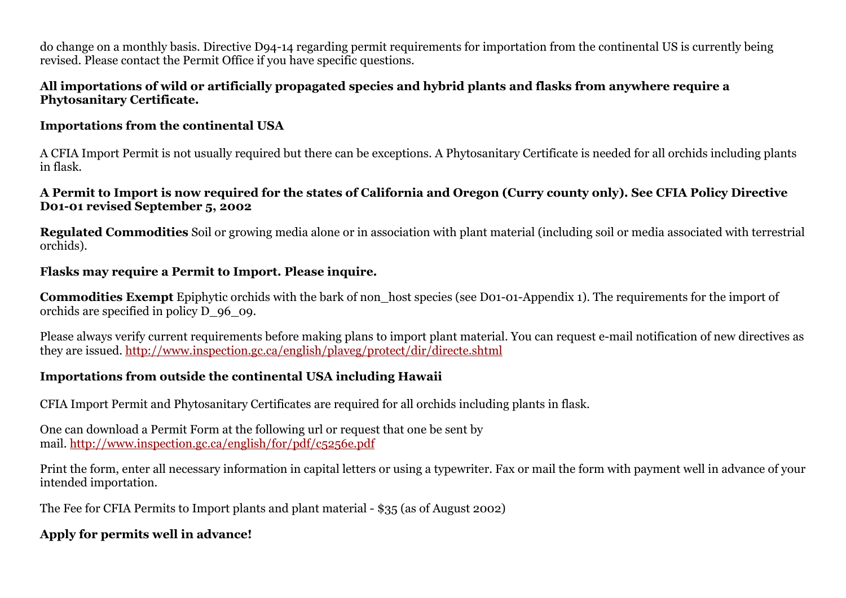do change on a monthly basis. Directive D94-14 regarding permit requirements for importation from the continental US is currently being revised. Please contact the Permit Office if you have specific questions.

### **All importations of wild or artificially propagated species and hybrid plants and flasks from anywhere require a Phytosanitary Certificate.**

### **Importations from the continental USA**

A CFIA Import Permit is not usually required but there can be exceptions. A Phytosanitary Certificate is needed for all orchids including plants in flask.

### **A Permit to Import is now required for the states of California and Oregon (Curry county only). See CFIA Policy Directive D01-01 revised September 5, 2002**

**Regulated Commodities** Soil or growing media alone or in association with plant material (including soil or media associated with terrestrial orchids).

### **Flasks may require a Permit to Import. Please inquire.**

**Commodities Exempt** Epiphytic orchids with the bark of non host species (see D01-01-Appendix 1). The requirements for the import of orchids are specified in policy D\_96\_09.

Please always verify current requirements before making plans to import plant material. You can request e-mail notification of new directives as they are issued. http://www.inspection.gc.ca/english/plaveg/protect/dir/directe.shtml

# **Importations from outside the continental USA including Hawaii**

CFIA Import Permit and Phytosanitary Certificates are required for all orchids including plants in flask.

One can download a Permit Form at the following url or request that one be sent by mail. http://www.inspection.gc.ca/english/for/pdf/c5256e.pdf

Print the form, enter all necessary information in capital letters or using a typewriter. Fax or mail the form with payment well in advance of your intended importation.

The Fee for CFIA Permits to Import plants and plant material - \$35 (as of August 2002)

# **Apply for permits well in advance!**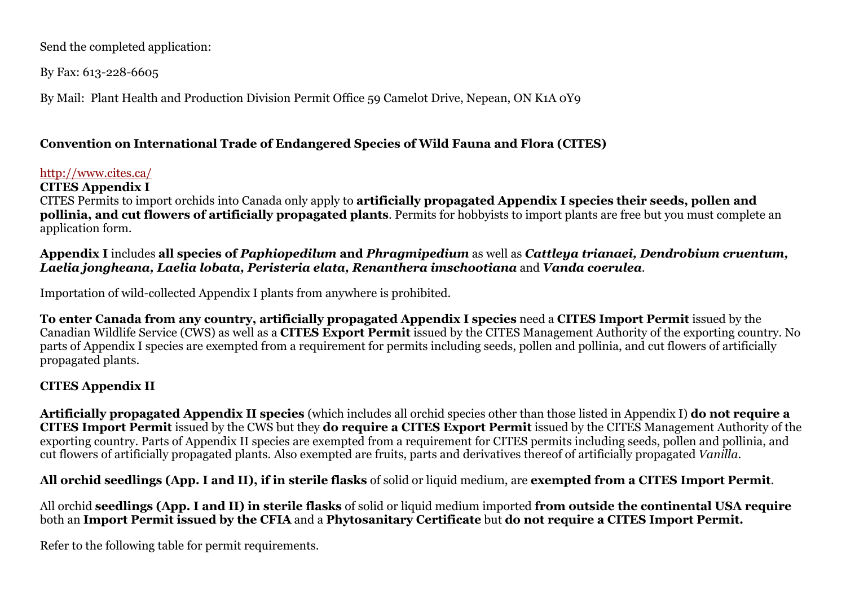Send the completed application:

By Fax: 613-228-6605

By Mail: Plant Health and Production Division Permit Office 59 Camelot Drive, Nepean, ON K1A 0Y9

# **Convention on International Trade of Endangered Species of Wild Fauna and Flora (CITES)**

#### http://www.cites.ca/

**CITES Appendix I**

CITES Permits to import orchids into Canada only apply to **artificially propagated Appendix I species their seeds, pollen and pollinia, and cut flowers of artificially propagated plants**. Permits for hobbyists to import plants are free but you must complete an application form.

**Appendix I** includes **all species of** *Paphiopedilum* **and** *Phragmipedium* as well as *Cattleya trianaei, Dendrobium cruentum, Laelia jongheana, Laelia lobata, Peristeria elata, Renanthera imschootiana* and *Vanda coerulea*.

Importation of wild-collected Appendix I plants from anywhere is prohibited.

**To enter Canada from any country, artificially propagated Appendix I species** need a **CITES Import Permit** issued by the Canadian Wildlife Service (CWS) as well as a **CITES Export Permit** issued by the CITES Management Authority of the exporting country. No parts of Appendix I species are exempted from a requirement for permits including seeds, pollen and pollinia, and cut flowers of artificially propagated plants.

# **CITES Appendix II**

**Artificially propagated Appendix II species** (which includes all orchid species other than those listed in Appendix I) **do not require a CITES Import Permit** issued by the CWS but they **do require a CITES Export Permit** issued by the CITES Management Authority of the exporting country. Parts of Appendix II species are exempted from a requirement for CITES permits including seeds, pollen and pollinia, and cut flowers of artificially propagated plants. Also exempted are fruits, parts and derivatives thereof of artificially propagated *Vanilla*.

**All orchid seedlings (App. I and II), if in sterile flasks** of solid or liquid medium, are **exempted from a CITES Import Permit**.

All orchid **seedlings (App. I and II) in sterile flasks** of solid or liquid medium imported **from outside the continental USA require** both an **Import Permit issued by the CFIA** and a **Phytosanitary Certificate** but **do not require a CITES Import Permit.**

Refer to the following table for permit requirements.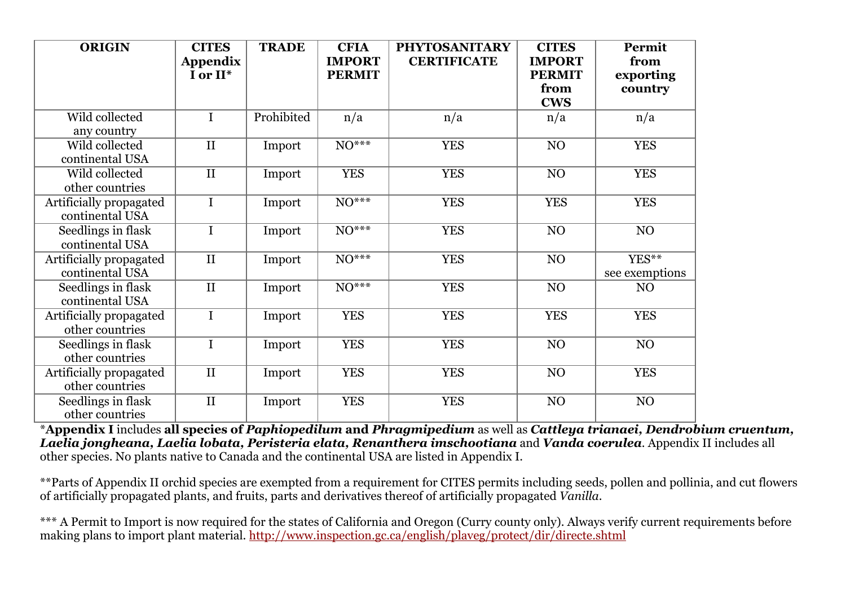| <b>ORIGIN</b>           | <b>CITES</b>                | <b>TRADE</b> | <b>CFIA</b>                    | <b>PHYTOSANITARY</b> | <b>CITES</b>                   | Permit            |
|-------------------------|-----------------------------|--------------|--------------------------------|----------------------|--------------------------------|-------------------|
|                         | <b>Appendix</b><br>I or II* |              | <b>IMPORT</b><br><b>PERMIT</b> | <b>CERTIFICATE</b>   | <b>IMPORT</b><br><b>PERMIT</b> | from<br>exporting |
|                         |                             |              |                                |                      | from                           | country           |
|                         |                             |              |                                |                      | <b>CWS</b>                     |                   |
| Wild collected          | $\mathbf I$                 | Prohibited   | n/a                            | n/a                  | n/a                            | n/a               |
| any country             |                             |              |                                |                      |                                |                   |
| Wild collected          | $\mathbf{I}$                | Import       | $\overline{NO^{***}}$          | <b>YES</b>           | NO                             | <b>YES</b>        |
| continental USA         |                             |              |                                |                      |                                |                   |
| Wild collected          | $\mathbf{I}$                | Import       | <b>YES</b>                     | <b>YES</b>           | NO                             | <b>YES</b>        |
| other countries         |                             |              |                                |                      |                                |                   |
| Artificially propagated | $\mathbf I$                 | Import       | $\overline{NO***}$             | <b>YES</b>           | <b>YES</b>                     | <b>YES</b>        |
| continental USA         |                             |              |                                |                      |                                |                   |
| Seedlings in flask      | $\mathbf I$                 | Import       | $\overline{NO^{***}}$          | <b>YES</b>           | NO                             | N <sub>O</sub>    |
| continental USA         |                             |              |                                |                      |                                |                   |
| Artificially propagated | $\rm II$                    | Import       | $\overline{NO^{***}}$          | <b>YES</b>           | NO                             | $YES**$           |
| continental USA         |                             |              |                                |                      |                                | see exemptions    |
| Seedlings in flask      | $\overline{\rm II}$         | Import       | $\overline{NO^{***}}$          | <b>YES</b>           | NO                             | NO                |
| continental USA         |                             |              |                                |                      |                                |                   |
| Artificially propagated | $\mathbf I$                 | Import       | <b>YES</b>                     | <b>YES</b>           | <b>YES</b>                     | <b>YES</b>        |
| other countries         |                             |              |                                |                      |                                |                   |
| Seedlings in flask      | $\mathbf I$                 | Import       | <b>YES</b>                     | <b>YES</b>           | NO                             | NO                |
| other countries         |                             |              |                                |                      |                                |                   |
| Artificially propagated | $\rm II$                    | Import       | <b>YES</b>                     | <b>YES</b>           | NO                             | <b>YES</b>        |
| other countries         |                             |              |                                |                      |                                |                   |
| Seedlings in flask      | $\mathbf{I}$                | Import       | <b>YES</b>                     | <b>YES</b>           | NO                             | NO                |
| other countries         |                             |              |                                |                      |                                |                   |

\***Appendix I** includes **all species of** *Paphiopedilum* **and** *Phragmipedium* as well as *Cattleya trianaei, Dendrobium cruentum, Laelia jongheana, Laelia lobata, Peristeria elata, Renanthera imschootiana* and *Vanda coerulea*. Appendix II includes all other species. No plants native to Canada and the continental USA are listed in Appendix I.

\*\*Parts of Appendix II orchid species are exempted from a requirement for CITES permits including seeds, pollen and pollinia, and cut flowers of artificially propagated plants, and fruits, parts and derivatives thereof of artificially propagated *Vanilla*.

\*\*\* A Permit to Import is now required for the states of California and Oregon (Curry county only). Always verify current requirements before making plans to import plant material. http://www.inspection.gc.ca/english/plaveg/protect/dir/directe.shtml